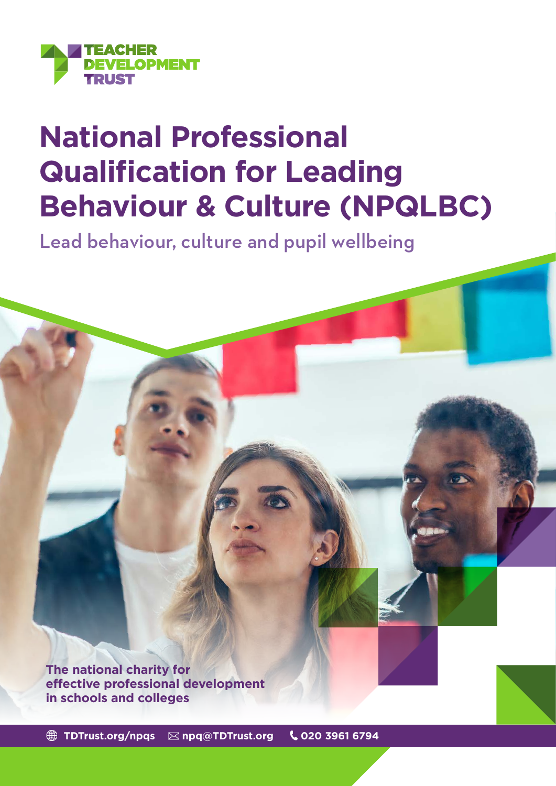

# **National Professional Qualification for Leading Behaviour & Culture (NPQLBC)**

Lead behaviour, culture and pupil wellbeing

**The national charity for effective professional development in schools and colleges**

 **[TDTrust.org/npqs](https://tdtrust.org/npqs-from-the-teacher-development-trust-2/) [npq@TDTrust.org](mailto:npq%40TDTrust.org?subject=) 020 3961 6794**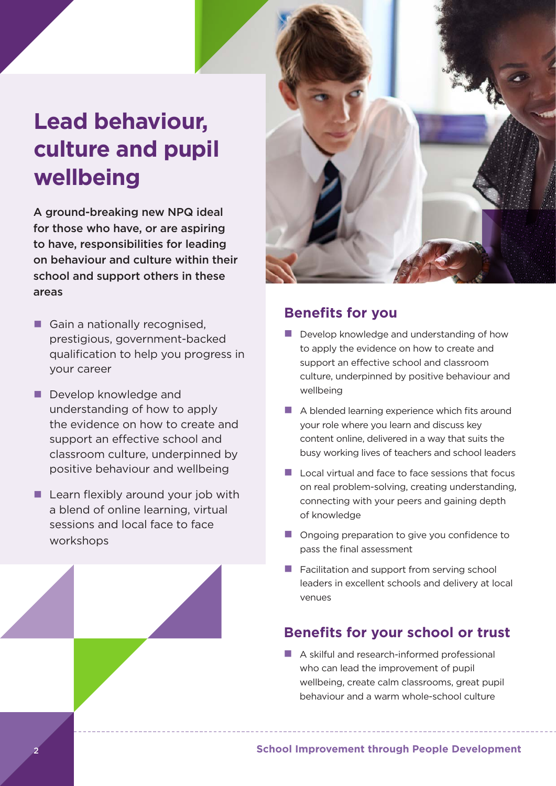## **Lead behaviour, culture and pupil wellbeing**

A ground-breaking new NPQ ideal for those who have, or are aspiring to have, responsibilities for leading on behaviour and culture within their school and support others in these areas

- Gain a nationally recognised, prestigious, government-backed qualification to help you progress in your career
- Develop knowledge and understanding of how to apply the evidence on how to create and support an effective school and classroom culture, underpinned by positive behaviour and wellbeing
- $\blacksquare$  Learn flexibly around your job with a blend of online learning, virtual sessions and local face to face workshops



## **Benefits for you**

- $\blacksquare$  Develop knowledge and understanding of how to apply the evidence on how to create and support an effective school and classroom culture, underpinned by positive behaviour and wellbeing
- $\blacksquare$  A blended learning experience which fits around your role where you learn and discuss key content online, delivered in a way that suits the busy working lives of teachers and school leaders
- $\blacksquare$  Local virtual and face to face sessions that focus on real problem-solving, creating understanding, connecting with your peers and gaining depth of knowledge
- **n** Ongoing preparation to give you confidence to pass the final assessment
- $\blacksquare$  Facilitation and support from serving school leaders in excellent schools and delivery at local venues

## **Benefits for your school or trust**

 $\blacksquare$  A skilful and research-informed professional who can lead the improvement of pupil wellbeing, create calm classrooms, great pupil behaviour and a warm whole-school culture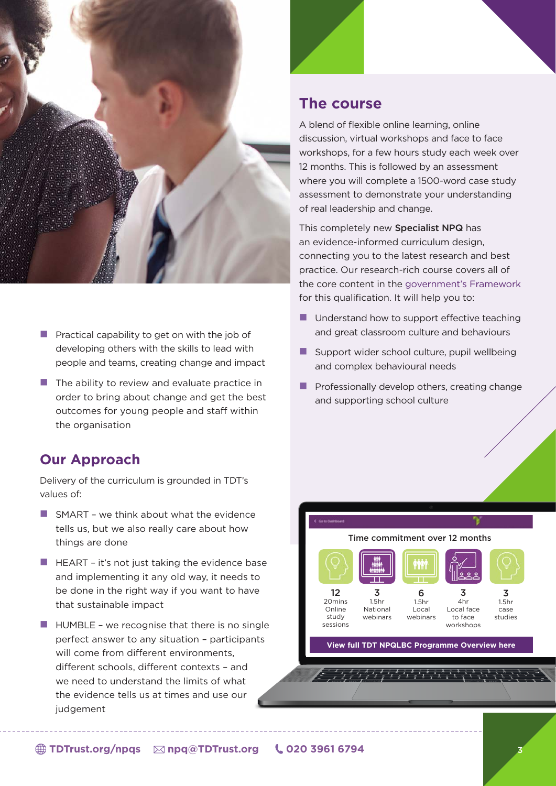

- **Practical capability to get on with the job of** developing others with the skills to lead with people and teams, creating change and impact
- $\blacksquare$  The ability to review and evaluate practice in order to bring about change and get the best outcomes for young people and staff within the organisation

## **Our Approach**

Delivery of the curriculum is grounded in TDT's values of:

- $\blacksquare$  SMART we think about what the evidence tells us, but we also really care about how things are done
- $\blacksquare$  HEART it's not just taking the evidence base and implementing it any old way, it needs to be done in the right way if you want to have that sustainable impact
- $\blacksquare$  HUMBLE we recognise that there is no single perfect answer to any situation – participants will come from different environments. different schools, different contexts – and we need to understand the limits of what the evidence tells us at times and use our judgement

### **The course**

A blend of flexible online learning, online discussion, virtual workshops and face to face workshops, for a few hours study each week over 12 months. This is followed by an assessment where you will complete a 1500-word case study assessment to demonstrate your understanding of real leadership and change.

This completely new Specialist NPQ has an evidence-informed curriculum design, connecting you to the latest research and best practice. Our research-rich course covers all of the core content in the [government's Framework](https://assets.publishing.service.gov.uk/government/uploads/system/uploads/attachment_data/file/925508/NPQ_Leading_Behaviour_and_Culture.pdf)  for this qualification. It will help you to:

- $\blacksquare$  Understand how to support effective teaching and great classroom culture and behaviours
- $\blacksquare$  Support wider school culture, pupil wellbeing and complex behavioural needs
- $\blacksquare$  Professionally develop others, creating change and supporting school culture

#### Time commitment over 12 months .<br>Mm 12 3 6 3

20mins Online study sessions 1.5hr National webinars

Local face to face workshops 1.5hr Local webinars

4hr



**[View full TDT NPQLBC Programme Overview here](https://tdtrust.org/wp-content/uploads/2022/05/TDT-Specialist-NPQ-Programme-overview.png)**